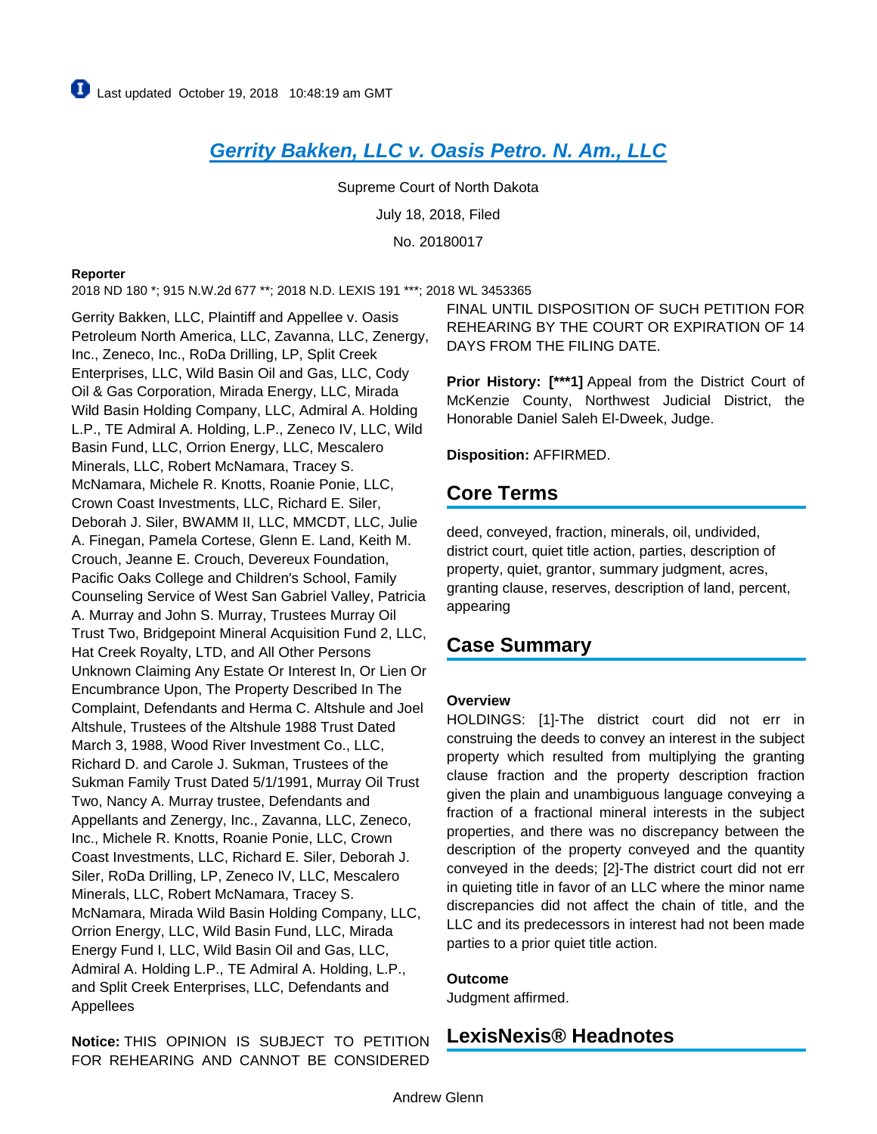# **[Gerrity Bakken, LLC v. Oasis Petro. N. Am., LLC](https://advance.lexis.com/api/document?collection=cases&id=urn:contentItem:5STW-HHP1-JXNB-64BN-00000-00&context=)**

Supreme Court of North Dakota July 18, 2018, Filed No. 20180017

#### **Reporter**

2018 ND 180 \*; 915 N.W.2d 677 \*\*; 2018 N.D. LEXIS 191 \*\*\*; 2018 WL 3453365

Gerrity Bakken, LLC, Plaintiff and Appellee v. Oasis Petroleum North America, LLC, Zavanna, LLC, Zenergy, Inc., Zeneco, Inc., RoDa Drilling, LP, Split Creek Enterprises, LLC, Wild Basin Oil and Gas, LLC, Cody Oil & Gas Corporation, Mirada Energy, LLC, Mirada Wild Basin Holding Company, LLC, Admiral A. Holding L.P., TE Admiral A. Holding, L.P., Zeneco IV, LLC, Wild Basin Fund, LLC, Orrion Energy, LLC, Mescalero Minerals, LLC, Robert McNamara, Tracey S. McNamara, Michele R. Knotts, Roanie Ponie, LLC, Crown Coast Investments, LLC, Richard E. Siler, Deborah J. Siler, BWAMM II, LLC, MMCDT, LLC, Julie A. Finegan, Pamela Cortese, Glenn E. Land, Keith M. Crouch, Jeanne E. Crouch, Devereux Foundation, Pacific Oaks College and Children's School, Family Counseling Service of West San Gabriel Valley, Patricia A. Murray and John S. Murray, Trustees Murray Oil Trust Two, Bridgepoint Mineral Acquisition Fund 2, LLC, Hat Creek Royalty, LTD, and All Other Persons Unknown Claiming Any Estate Or Interest In, Or Lien Or Encumbrance Upon, The Property Described In The Complaint, Defendants and Herma C. Altshule and Joel Altshule, Trustees of the Altshule 1988 Trust Dated March 3, 1988, Wood River Investment Co., LLC, Richard D. and Carole J. Sukman, Trustees of the Sukman Family Trust Dated 5/1/1991, Murray Oil Trust Two, Nancy A. Murray trustee, Defendants and Appellants and Zenergy, Inc., Zavanna, LLC, Zeneco, Inc., Michele R. Knotts, Roanie Ponie, LLC, Crown Coast Investments, LLC, Richard E. Siler, Deborah J. Siler, RoDa Drilling, LP, Zeneco IV, LLC, Mescalero Minerals, LLC, Robert McNamara, Tracey S. McNamara, Mirada Wild Basin Holding Company, LLC, Orrion Energy, LLC, Wild Basin Fund, LLC, Mirada Energy Fund I, LLC, Wild Basin Oil and Gas, LLC, Admiral A. Holding L.P., TE Admiral A. Holding, L.P., and Split Creek Enterprises, LLC, Defendants and Appellees

**Notice:** THIS OPINION IS SUBJECT TO PETITION FOR REHEARING AND CANNOT BE CONSIDERED FINAL UNTIL DISPOSITION OF SUCH PETITION FOR REHEARING BY THE COURT OR EXPIRATION OF 14 DAYS FROM THE FILING DATE.

**Prior History: [\*\*\*1]** Appeal from the District Court of McKenzie County, Northwest Judicial District, the Honorable Daniel Saleh El-Dweek, Judge.

**Disposition:** AFFIRMED.

## **Core Terms**

deed, conveyed, fraction, minerals, oil, undivided, district court, quiet title action, parties, description of property, quiet, grantor, summary judgment, acres, granting clause, reserves, description of land, percent, appearing

# **Case Summary**

#### **Overview**

HOLDINGS: [1]-The district court did not err in construing the deeds to convey an interest in the subject property which resulted from multiplying the granting clause fraction and the property description fraction given the plain and unambiguous language conveying a fraction of a fractional mineral interests in the subject properties, and there was no discrepancy between the description of the property conveyed and the quantity conveyed in the deeds; [2]-The district court did not err in quieting title in favor of an LLC where the minor name discrepancies did not affect the chain of title, and the LLC and its predecessors in interest had not been made parties to a prior quiet title action.

#### **Outcome**

Judgment affirmed.

## **LexisNexis® Headnotes**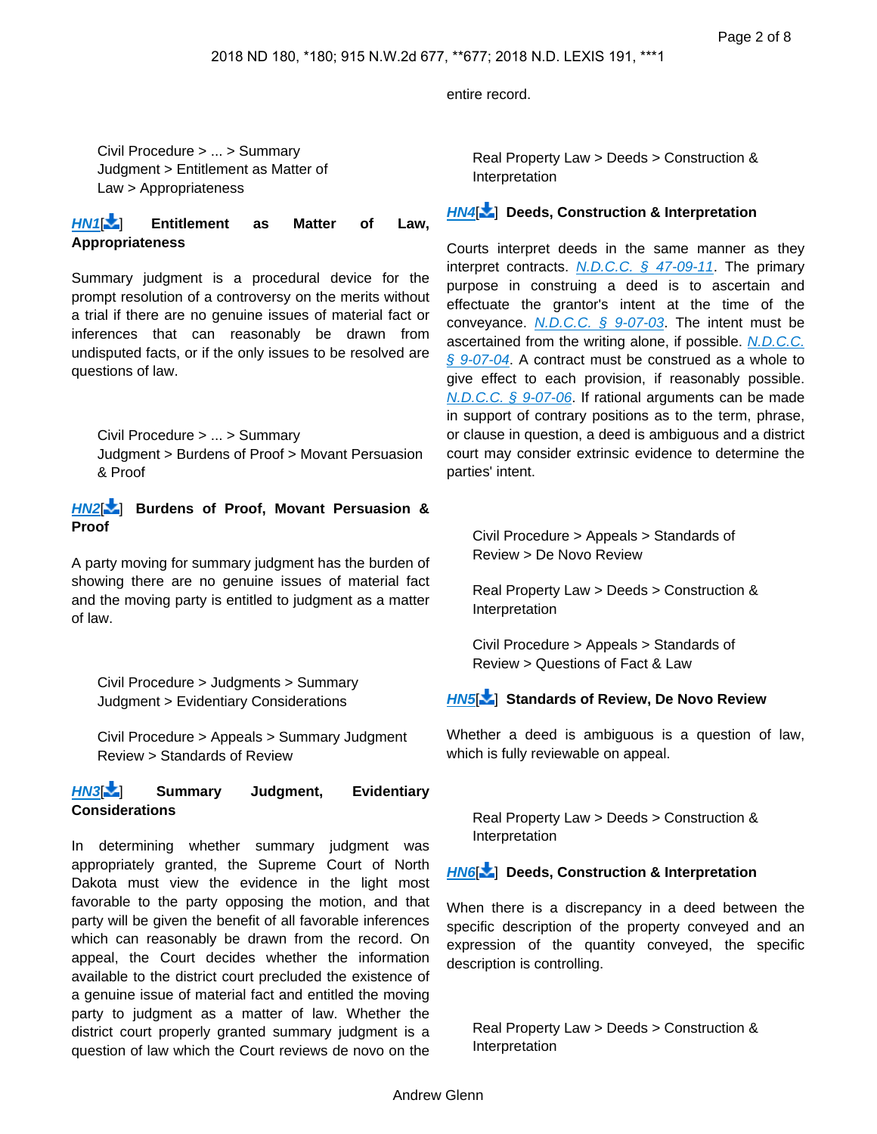entire record.

Civil Procedure > ... > Summary Judgment > Entitlement as Matter of Law > Appropriateness

**[HN1](https://advance.lexis.com/api/document?collection=cases&id=urn:contentItem:5STW-HHP1-JXNB-64BN-00000-00&context=&link=LNHNREFclscc1)**[ ] **Entitlement as Matter of Law, Appropriateness**

Summary judgment is a procedural device for the prompt resolution of a controversy on the merits without a trial if there are no genuine issues of material fact or inferences that can reasonably be drawn from undisputed facts, or if the only issues to be resolved are questions of law.

Civil Procedure > ... > Summary Judgment > Burdens of Proof > Movant Persuasion & Proof

#### **[HN2](https://advance.lexis.com/api/document?collection=cases&id=urn:contentItem:5STW-HHP1-JXNB-64BN-00000-00&context=&link=LNHNREFclscc2)**[ ] **Burdens of Proof, Movant Persuasion & Proof**

A party moving for summary judgment has the burden of showing there are no genuine issues of material fact and the moving party is entitled to judgment as a matter of law.

Civil Procedure > Judgments > Summary Judgment > Evidentiary Considerations

Civil Procedure > Appeals > Summary Judgment Review > Standards of Review

### **[HN3](https://advance.lexis.com/api/document?collection=cases&id=urn:contentItem:5STW-HHP1-JXNB-64BN-00000-00&context=&link=LNHNREFclscc3)**[ ] **Summary Judgment, Evidentiary Considerations**

In determining whether summary judgment was appropriately granted, the Supreme Court of North Dakota must view the evidence in the light most favorable to the party opposing the motion, and that party will be given the benefit of all favorable inferences which can reasonably be drawn from the record. On appeal, the Court decides whether the information available to the district court precluded the existence of a genuine issue of material fact and entitled the moving party to judgment as a matter of law. Whether the district court properly granted summary judgment is a question of law which the Court reviews de novo on the

Real Property Law > Deeds > Construction & Interpretation

### **[HN4](https://advance.lexis.com/api/document?collection=cases&id=urn:contentItem:5STW-HHP1-JXNB-64BN-00000-00&context=&link=LNHNREFclscc4)**[ ] **Deeds, Construction & Interpretation**

Courts interpret deeds in the same manner as they interpret contracts.  $N.D.C.C. \S$  47-09-11. The primary purpose in construing a deed is to ascertain and effectuate the grantor's intent at the time of the conveyance.  $N.D.C.C.$  §  $9-07-03$ . The intent must be ascertained from the writing alone, if possible. [N.D.C.C.](https://advance.lexis.com/api/document?collection=statutes-legislation&id=urn:contentItem:5CP7-WRR1-66WP-P42P-00000-00&context=)  [§ 9-07-04](https://advance.lexis.com/api/document?collection=statutes-legislation&id=urn:contentItem:5CP7-WRR1-66WP-P42P-00000-00&context=). A contract must be construed as a whole to give effect to each provision, if reasonably possible. [N.D.C.C. § 9-07-06](https://advance.lexis.com/api/document?collection=statutes-legislation&id=urn:contentItem:5CP7-WRR1-66WP-P42V-00000-00&context=). If rational arguments can be made in support of contrary positions as to the term, phrase, or clause in question, a deed is ambiguous and a district court may consider extrinsic evidence to determine the parties' intent.

Civil Procedure > Appeals > Standards of Review > De Novo Review

Real Property Law > Deeds > Construction & Interpretation

Civil Procedure > Appeals > Standards of Review > Questions of Fact & Law

### **[HN5](https://advance.lexis.com/api/document?collection=cases&id=urn:contentItem:5STW-HHP1-JXNB-64BN-00000-00&context=&link=LNHNREFclscc5)**[ ] **Standards of Review, De Novo Review**

Whether a deed is ambiguous is a question of law, which is fully reviewable on appeal.

Real Property Law > Deeds > Construction & Interpretation

#### **[HN6](https://advance.lexis.com/api/document?collection=cases&id=urn:contentItem:5STW-HHP1-JXNB-64BN-00000-00&context=&link=LNHNREFclscc6)**[ ] **Deeds, Construction & Interpretation**

When there is a discrepancy in a deed between the specific description of the property conveyed and an expression of the quantity conveyed, the specific description is controlling.

Real Property Law > Deeds > Construction & Interpretation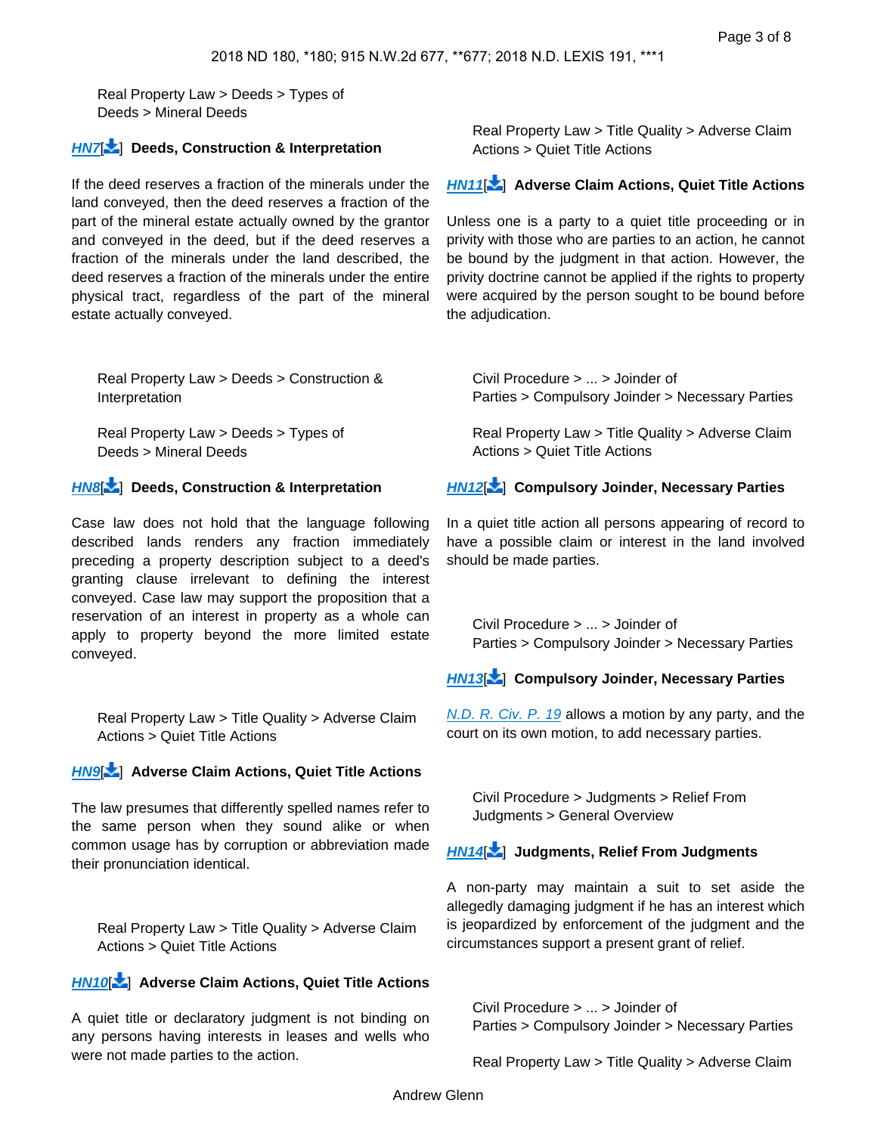Real Property Law > Deeds > Types of Deeds > Mineral Deeds

#### **[HN7](https://advance.lexis.com/api/document?collection=cases&id=urn:contentItem:5STW-HHP1-JXNB-64BN-00000-00&context=&link=LNHNREFclscc7)**[ ] **Deeds, Construction & Interpretation**

If the deed reserves a fraction of the minerals under the land conveyed, then the deed reserves a fraction of the part of the mineral estate actually owned by the grantor and conveyed in the deed, but if the deed reserves a fraction of the minerals under the land described, the deed reserves a fraction of the minerals under the entire physical tract, regardless of the part of the mineral estate actually conveyed.

Real Property Law > Deeds > Construction & Interpretation

Real Property Law > Deeds > Types of Deeds > Mineral Deeds

### **[HN8](https://advance.lexis.com/api/document?collection=cases&id=urn:contentItem:5STW-HHP1-JXNB-64BN-00000-00&context=&link=LNHNREFclscc8)**[ ] **Deeds, Construction & Interpretation**

Case law does not hold that the language following described lands renders any fraction immediately preceding a property description subject to a deed's granting clause irrelevant to defining the interest conveyed. Case law may support the proposition that a reservation of an interest in property as a whole can apply to property beyond the more limited estate conveyed.

<span id="page-2-0"></span>Real Property Law > Title Quality > Adverse Claim Actions > Quiet Title Actions

### **[HN9](https://advance.lexis.com/api/document?collection=cases&id=urn:contentItem:5STW-HHP1-JXNB-64BN-00000-00&context=&link=LNHNREFclscc9)**[ ] **Adverse Claim Actions, Quiet Title Actions**

The law presumes that differently spelled names refer to the same person when they sound alike or when common usage has by corruption or abbreviation made their pronunciation identical.

Real Property Law > Title Quality > Adverse Claim Actions > Quiet Title Actions

### **[HN10](https://advance.lexis.com/api/document?collection=cases&id=urn:contentItem:5STW-HHP1-JXNB-64BN-00000-00&context=&link=LNHNREFclscc10)**[\[](#page-6-0) ] **Adverse Claim Actions, Quiet Title Actions**

A quiet title or declaratory judgment is not binding on any persons having interests in leases and wells who were not made parties to the action.

Real Property Law > Title Quality > Adverse Claim Actions > Quiet Title Actions

### **[HN11](https://advance.lexis.com/api/document?collection=cases&id=urn:contentItem:5STW-HHP1-JXNB-64BN-00000-00&context=&link=LNHNREFclscc11)**[\[](#page-6-1) ] **Adverse Claim Actions, Quiet Title Actions**

Unless one is a party to a quiet title proceeding or in privity with those who are parties to an action, he cannot be bound by the judgment in that action. However, the privity doctrine cannot be applied if the rights to property were acquired by the person sought to be bound before the adjudication.

<span id="page-2-1"></span>Civil Procedure > ... > Joinder of Parties > Compulsory Joinder > Necessary Parties

Real Property Law > Title Quality > Adverse Claim Actions > Quiet Title Actions

#### **[HN12](https://advance.lexis.com/api/document?collection=cases&id=urn:contentItem:5STW-HHP1-JXNB-64BN-00000-00&context=&link=LNHNREFclscc12)**[\[](#page-6-2) ] **Compulsory Joinder, Necessary Parties**

In a quiet title action all persons appearing of record to have a possible claim or interest in the land involved should be made parties.

Civil Procedure > ... > Joinder of Parties > Compulsory Joinder > Necessary Parties

### **[HN13](https://advance.lexis.com/api/document?collection=cases&id=urn:contentItem:5STW-HHP1-JXNB-64BN-00000-00&context=&link=LNHNREFclscc13)**[\[](#page-6-3) ] **Compulsory Joinder, Necessary Parties**

<span id="page-2-2"></span>[N.D. R. Civ. P. 19](https://advance.lexis.com/api/document?collection=statutes-legislation&id=urn:contentItem:4FY5-9BM0-R03M-M3D6-00000-00&context=) allows a motion by any party, and the court on its own motion, to add necessary parties.

Civil Procedure > Judgments > Relief From Judgments > General Overview

### **[HN14](https://advance.lexis.com/api/document?collection=cases&id=urn:contentItem:5STW-HHP1-JXNB-64BN-00000-00&context=&link=LNHNREFclscc14)**[\[](#page-6-4) ] **Judgments, Relief From Judgments**

A non-party may maintain a suit to set aside the allegedly damaging judgment if he has an interest which is jeopardized by enforcement of the judgment and the circumstances support a present grant of relief.

<span id="page-2-3"></span>Civil Procedure > ... > Joinder of Parties > Compulsory Joinder > Necessary Parties

Real Property Law > Title Quality > Adverse Claim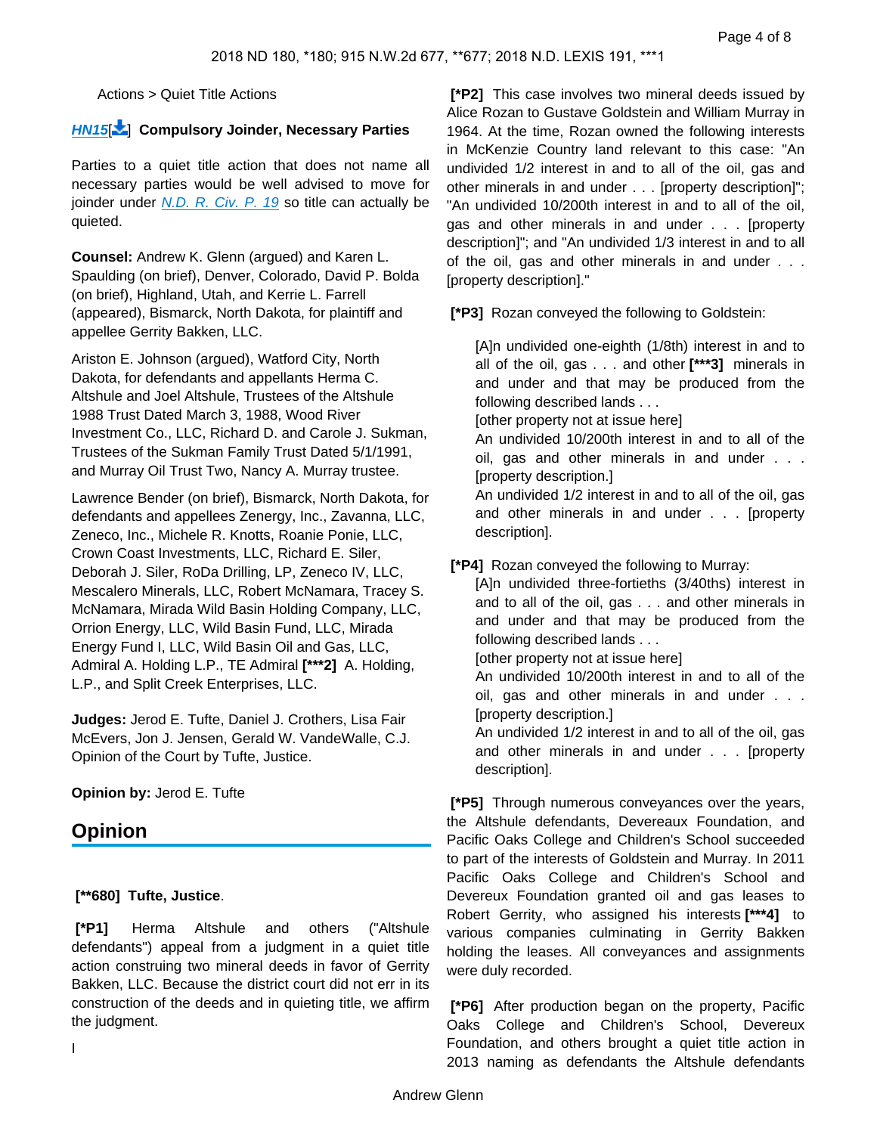Actions > Quiet Title Actions

#### **[HN15](https://advance.lexis.com/api/document?collection=cases&id=urn:contentItem:5STW-HHP1-JXNB-64BN-00000-00&context=&link=LNHNREFclscc15)**[ [\]](#page-7-0) **Compulsory Joinder, Necessary Parties**

Parties to a quiet title action that does not name all necessary parties would be well advised to move for joinder under [N.D. R. Civ. P. 19](https://advance.lexis.com/api/document?collection=statutes-legislation&id=urn:contentItem:4FY5-9BM0-R03M-M3D6-00000-00&context=) so title can actually be quieted.

**Counsel:** Andrew K. Glenn (argued) and Karen L. Spaulding (on brief), Denver, Colorado, David P. Bolda (on brief), Highland, Utah, and Kerrie L. Farrell (appeared), Bismarck, North Dakota, for plaintiff and appellee Gerrity Bakken, LLC.

Ariston E. Johnson (argued), Watford City, North Dakota, for defendants and appellants Herma C. Altshule and Joel Altshule, Trustees of the Altshule 1988 Trust Dated March 3, 1988, Wood River Investment Co., LLC, Richard D. and Carole J. Sukman, Trustees of the Sukman Family Trust Dated 5/1/1991, and Murray Oil Trust Two, Nancy A. Murray trustee.

Lawrence Bender (on brief), Bismarck, North Dakota, for defendants and appellees Zenergy, Inc., Zavanna, LLC, Zeneco, Inc., Michele R. Knotts, Roanie Ponie, LLC, Crown Coast Investments, LLC, Richard E. Siler, Deborah J. Siler, RoDa Drilling, LP, Zeneco IV, LLC, Mescalero Minerals, LLC, Robert McNamara, Tracey S. McNamara, Mirada Wild Basin Holding Company, LLC, Orrion Energy, LLC, Wild Basin Fund, LLC, Mirada Energy Fund I, LLC, Wild Basin Oil and Gas, LLC, Admiral A. Holding L.P., TE Admiral **[\*\*\*2]** A. Holding, L.P., and Split Creek Enterprises, LLC.

**Judges:** Jerod E. Tufte, Daniel J. Crothers, Lisa Fair McEvers, Jon J. Jensen, Gerald W. VandeWalle, C.J. Opinion of the Court by Tufte, Justice.

**Opinion by:** Jerod E. Tufte

# **Opinion**

#### **[\*\*680] Tufte, Justice**.

 **[\*P1]** Herma Altshule and others ("Altshule defendants") appeal from a judgment in a quiet title action construing two mineral deeds in favor of Gerrity Bakken, LLC. Because the district court did not err in its construction of the deeds and in quieting title, we affirm the judgment.

 **[\*P2]** This case involves two mineral deeds issued by Alice Rozan to Gustave Goldstein and William Murray in 1964. At the time, Rozan owned the following interests in McKenzie Country land relevant to this case: "An undivided 1/2 interest in and to all of the oil, gas and other minerals in and under . . . [property description]"; "An undivided 10/200th interest in and to all of the oil, gas and other minerals in and under . . . [property description]"; and "An undivided 1/3 interest in and to all of the oil, gas and other minerals in and under . . . [property description]."

 **[\*P3]** Rozan conveyed the following to Goldstein:

[A]n undivided one-eighth (1/8th) interest in and to all of the oil, gas . . . and other **[\*\*\*3]** minerals in and under and that may be produced from the following described lands . . .

[other property not at issue here]

An undivided 10/200th interest in and to all of the oil, gas and other minerals in and under . . . [property description.]

An undivided 1/2 interest in and to all of the oil, gas and other minerals in and under . . . [property description].

 **[\*P4]** Rozan conveyed the following to Murray:

[A]n undivided three-fortieths (3/40ths) interest in and to all of the oil, gas . . . and other minerals in and under and that may be produced from the following described lands . . .

[other property not at issue here]

An undivided 10/200th interest in and to all of the oil, gas and other minerals in and under . . . [property description.]

An undivided 1/2 interest in and to all of the oil, gas and other minerals in and under . . . [property description].

 **[\*P5]** Through numerous conveyances over the years, the Altshule defendants, Devereaux Foundation, and Pacific Oaks College and Children's School succeeded to part of the interests of Goldstein and Murray. In 2011 Pacific Oaks College and Children's School and Devereux Foundation granted oil and gas leases to Robert Gerrity, who assigned his interests **[\*\*\*4]** to various companies culminating in Gerrity Bakken holding the leases. All conveyances and assignments were duly recorded.

 **[\*P6]** After production began on the property, Pacific Oaks College and Children's School, Devereux Foundation, and others brought a quiet title action in 2013 naming as defendants the Altshule defendants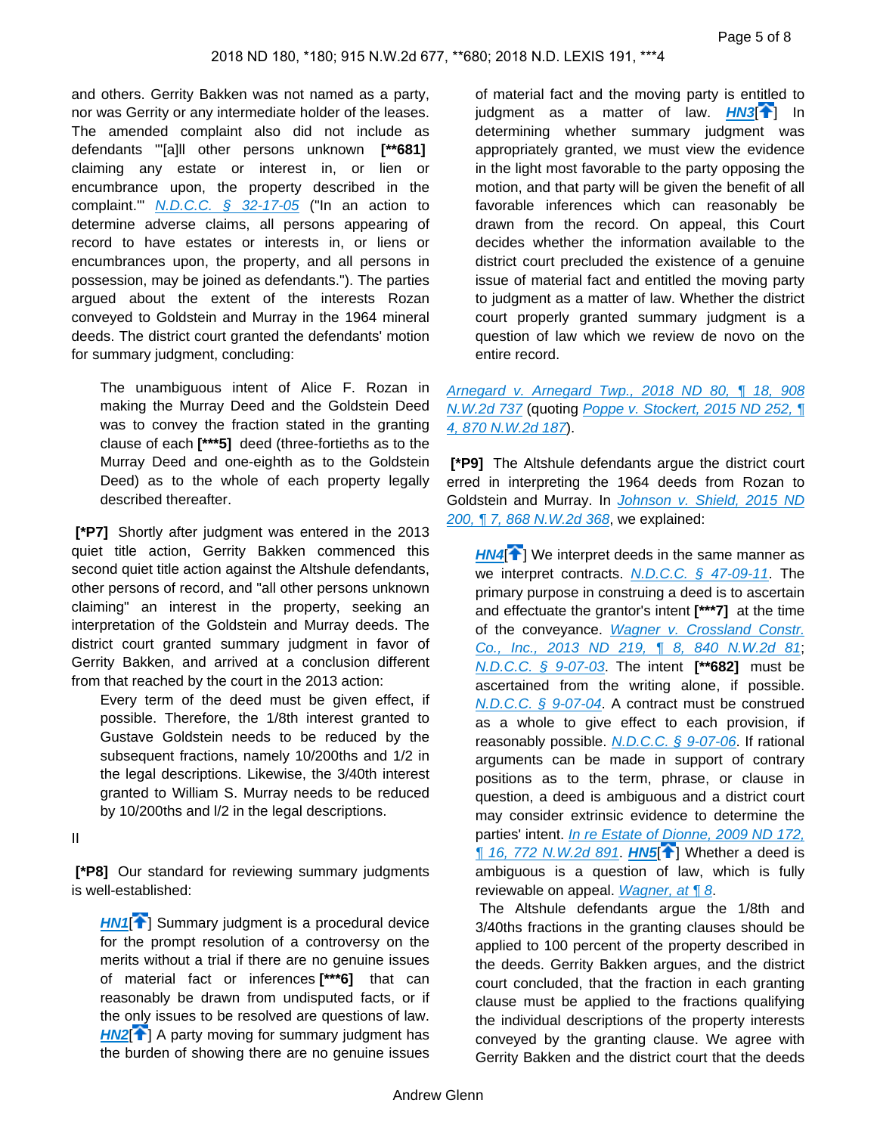and others. Gerrity Bakken was not named as a party, nor was Gerrity or any intermediate holder of the leases. The amended complaint also did not include as defendants "'[a]ll other persons unknown **[\*\*681]**  claiming any estate or interest in, or lien or encumbrance upon, the property described in the complaint."  $N.D.C.C. \S$  32-17-05 ("In an action to determine adverse claims, all persons appearing of record to have estates or interests in, or liens or encumbrances upon, the property, and all persons in possession, may be joined as defendants."). The parties argued about the extent of the interests Rozan conveyed to Goldstein and Murray in the 1964 mineral deeds. The district court granted the defendants' motion for summary judgment, concluding:

The unambiguous intent of Alice F. Rozan in making the Murray Deed and the Goldstein Deed was to convey the fraction stated in the granting clause of each **[\*\*\*5]** deed (three-fortieths as to the Murray Deed and one-eighth as to the Goldstein Deed) as to the whole of each property legally described thereafter.

 **[\*P7]** Shortly after judgment was entered in the 2013 quiet title action, Gerrity Bakken commenced this second quiet title action against the Altshule defendants, other persons of record, and "all other persons unknown claiming" an interest in the property, seeking an interpretation of the Goldstein and Murray deeds. The district court granted summary judgment in favor of Gerrity Bakken, and arrived at a conclusion different from that reached by the court in the 2013 action:

Every term of the deed must be given effect, if possible. Therefore, the 1/8th interest granted to Gustave Goldstein needs to be reduced by the subsequent fractions, namely 10/200ths and 1/2 in the legal descriptions. Likewise, the 3/40th interest granted to William S. Murray needs to be reduced by 10/200ths and l/2 in the legal descriptions.

II

 **[\*P8]** Our standard for reviewing summary judgments is well-established:

**[HN1](https://advance.lexis.com/api/document?collection=cases&id=urn:contentItem:5STW-HHP1-JXNB-64BN-00000-00&context=&link=clscc1)<sup>[4]</sup>** Summary judgment is a procedural device for the prompt resolution of a controversy on the merits without a trial if there are no genuine issues of material fact or inferences **[\*\*\*6]** that can reasonably be drawn from undisputed facts, or if the only issues to be resolved are questions of law. **[HN2](https://advance.lexis.com/api/document?collection=cases&id=urn:contentItem:5STW-HHP1-JXNB-64BN-00000-00&context=&link=clscc2)<sup>[4]</sup>** A party moving for summary judgment has the burden of showing there are no genuine issues

of material fact and the moving party is entitled to judgment as a matter of law. **[HN3](https://advance.lexis.com/api/document?collection=cases&id=urn:contentItem:5STW-HHP1-JXNB-64BN-00000-00&context=&link=clscc3)<sup>[4]</sup>]** In determining whether summary judgment was appropriately granted, we must view the evidence in the light most favorable to the party opposing the motion, and that party will be given the benefit of all favorable inferences which can reasonably be drawn from the record. On appeal, this Court decides whether the information available to the district court precluded the existence of a genuine issue of material fact and entitled the moving party to judgment as a matter of law. Whether the district court properly granted summary judgment is a question of law which we review de novo on the entire record.

### [Arnegard v. Arnegard Twp., 2018 ND 80, ¶ 18, 908](https://advance.lexis.com/api/document?collection=cases&id=urn:contentItem:5RXP-YW11-FH4C-X2X3-00000-00&context=)  [N.W.2d 737](https://advance.lexis.com/api/document?collection=cases&id=urn:contentItem:5RXP-YW11-FH4C-X2X3-00000-00&context=) (quoting [Poppe v. Stockert, 2015 ND 252, ¶](https://advance.lexis.com/api/document?collection=cases&id=urn:contentItem:5H4R-H8T1-F04H-M002-00000-00&context=)  [4, 870 N.W.2d 187](https://advance.lexis.com/api/document?collection=cases&id=urn:contentItem:5H4R-H8T1-F04H-M002-00000-00&context=)).

 **[\*P9]** The Altshule defendants argue the district court erred in interpreting the 1964 deeds from Rozan to Goldstein and Murray. In Johnson v. Shield, 2015 ND [200, ¶ 7, 868 N.W.2d 368](https://advance.lexis.com/api/document?collection=cases&id=urn:contentItem:5GNP-G3V1-F04H-M01H-00000-00&context=), we explained:

**[HN4](https://advance.lexis.com/api/document?collection=cases&id=urn:contentItem:5STW-HHP1-JXNB-64BN-00000-00&context=&link=clscc4)<sup>{</sup>** ) We interpret deeds in the same manner as we interpret contracts.  $N.D.C.C.$  § 47-09-11. The primary purpose in construing a deed is to ascertain and effectuate the grantor's intent **[\*\*\*7]** at the time of the conveyance. Wagner v. Crossland Constr. [Co., Inc., 2013 ND 219, ¶ 8, 840 N.W.2d 81](https://advance.lexis.com/api/document?collection=cases&id=urn:contentItem:59X7-FT31-F04H-M032-00000-00&context=); [N.D.C.C. § 9-07-03](https://advance.lexis.com/api/document?collection=statutes-legislation&id=urn:contentItem:5CP7-WRR1-66WP-P42M-00000-00&context=). The intent **[\*\*682]** must be ascertained from the writing alone, if possible. [N.D.C.C. § 9-07-04](https://advance.lexis.com/api/document?collection=statutes-legislation&id=urn:contentItem:5CP7-WRR1-66WP-P42P-00000-00&context=). A contract must be construed as a whole to give effect to each provision, if reasonably possible. [N.D.C.C. § 9-07-06](https://advance.lexis.com/api/document?collection=statutes-legislation&id=urn:contentItem:5CP7-WRR1-66WP-P42V-00000-00&context=). If rational arguments can be made in support of contrary positions as to the term, phrase, or clause in question, a deed is ambiguous and a district court may consider extrinsic evidence to determine the parties' intent. In re Estate of Dionne, 2009 ND 172,  $\P$  16, 772 N.W.2d 891. **[HN5](https://advance.lexis.com/api/document?collection=cases&id=urn:contentItem:5STW-HHP1-JXNB-64BN-00000-00&context=&link=clscc5)** $\hat{\uparrow}$ ] Whether a deed is ambiguous is a question of law, which is fully reviewable on appeal. Wagner, at 18.

 The Altshule defendants argue the 1/8th and 3/40ths fractions in the granting clauses should be applied to 100 percent of the property described in the deeds. Gerrity Bakken argues, and the district court concluded, that the fraction in each granting clause must be applied to the fractions qualifying the individual descriptions of the property interests conveyed by the granting clause. We agree with Gerrity Bakken and the district court that the deeds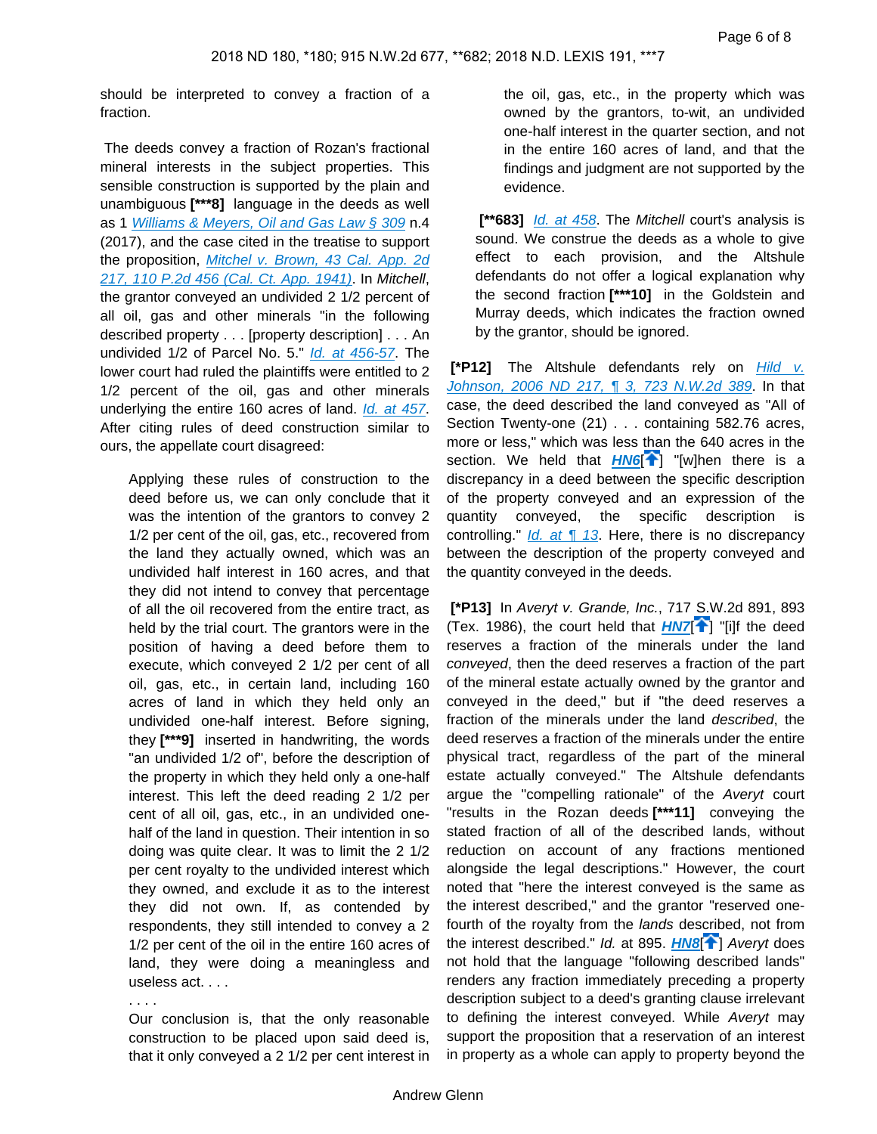should be interpreted to convey a fraction of a fraction.

 The deeds convey a fraction of Rozan's fractional mineral interests in the subject properties. This sensible construction is supported by the plain and unambiguous **[\*\*\*8]** language in the deeds as well as 1 [Williams & Meyers, Oil and Gas Law § 309](https://advance.lexis.com/api/document?collection=analytical-materials&id=urn:contentItem:52BW-NMJ0-R03M-P32N-00000-00&context=) n.4 (2017), and the case cited in the treatise to support the proposition, Mitchel v. Brown, 43 Cal. App. 2d [217, 110 P.2d 456 \(Cal. Ct. App. 1941\)](https://advance.lexis.com/api/document?collection=cases&id=urn:contentItem:3S1W-M5B0-003V-P26B-00000-00&context=). In Mitchell, the grantor conveyed an undivided 2 1/2 percent of all oil, gas and other minerals "in the following described property . . . [property description] . . . An undivided 1/2 of Parcel No. 5." [Id. at 456-57](https://advance.lexis.com/api/document?collection=cases&id=urn:contentItem:3S1W-M5B0-003V-P26B-00000-00&context=). The lower court had ruled the plaintiffs were entitled to 2 1/2 percent of the oil, gas and other minerals underlying the entire 160 acres of land. *[Id. at 457](https://advance.lexis.com/api/document?collection=cases&id=urn:contentItem:3S1W-M5B0-003V-P26B-00000-00&context=)*. After citing rules of deed construction similar to ours, the appellate court disagreed:

Applying these rules of construction to the deed before us, we can only conclude that it was the intention of the grantors to convey 2 1/2 per cent of the oil, gas, etc., recovered from the land they actually owned, which was an undivided half interest in 160 acres, and that they did not intend to convey that percentage of all the oil recovered from the entire tract, as held by the trial court. The grantors were in the position of having a deed before them to execute, which conveyed 2 1/2 per cent of all oil, gas, etc., in certain land, including 160 acres of land in which they held only an undivided one-half interest. Before signing, they **[\*\*\*9]** inserted in handwriting, the words "an undivided 1/2 of", before the description of the property in which they held only a one-half interest. This left the deed reading 2 1/2 per cent of all oil, gas, etc., in an undivided onehalf of the land in question. Their intention in so doing was quite clear. It was to limit the 2 1/2 per cent royalty to the undivided interest which they owned, and exclude it as to the interest they did not own. If, as contended by respondents, they still intended to convey a 2 1/2 per cent of the oil in the entire 160 acres of land, they were doing a meaningless and useless act. . . .

. . . .

Our conclusion is, that the only reasonable construction to be placed upon said deed is, that it only conveyed a 2 1/2 per cent interest in the oil, gas, etc., in the property which was owned by the grantors, to-wit, an undivided one-half interest in the quarter section, and not in the entire 160 acres of land, and that the findings and judgment are not supported by the evidence.

[\*\*683] *[Id. at 458](https://advance.lexis.com/api/document?collection=cases&id=urn:contentItem:3S1W-M5B0-003V-P26B-00000-00&context=)*. The *Mitchell* court's analysis is sound. We construe the deeds as a whole to give effect to each provision, and the Altshule defendants do not offer a logical explanation why the second fraction **[\*\*\*10]** in the Goldstein and Murray deeds, which indicates the fraction owned by the grantor, should be ignored.

**[\*P12]** The Altshule defendants rely on *Hild v.* [Johnson, 2006 ND 217, ¶ 3, 723 N.W.2d 389](https://advance.lexis.com/api/document?collection=cases&id=urn:contentItem:4M5X-B320-0039-43JS-00000-00&context=). In that case, the deed described the land conveyed as "All of Section Twenty-one (21) . . . containing 582.76 acres, more or less," which was less than the 640 acres in the section. We held that **[HN6](https://advance.lexis.com/api/document?collection=cases&id=urn:contentItem:5STW-HHP1-JXNB-64BN-00000-00&context=&link=clscc6)<sup>[4</sup>]** "[w]hen there is a discrepancy in a deed between the specific description of the property conveyed and an expression of the quantity conveyed, the specific description is controlling."  $Id.$  at  $\P$  13. Here, there is no discrepancy between the description of the property conveyed and the quantity conveyed in the deeds.

 **[\*P13]** In Averyt v. Grande, Inc., 717 S.W.2d 891, 893 (Tex. 1986), the court held that  $HNT^{\uparrow}$ ] "[i]f the deed reserves a fraction of the minerals under the land conveyed, then the deed reserves a fraction of the part of the mineral estate actually owned by the grantor and conveyed in the deed," but if "the deed reserves a fraction of the minerals under the land described, the deed reserves a fraction of the minerals under the entire physical tract, regardless of the part of the mineral estate actually conveyed." The Altshule defendants argue the "compelling rationale" of the Averyt court "results in the Rozan deeds **[\*\*\*11]** conveying the stated fraction of all of the described lands, without reduction on account of any fractions mentioned alongside the legal descriptions." However, the court noted that "here the interest conveyed is the same as the interest described," and the grantor "reserved onefourth of the royalty from the lands described, not from the interest described." *Id.* at 895. **[HN8](https://advance.lexis.com/api/document?collection=cases&id=urn:contentItem:5STW-HHP1-JXNB-64BN-00000-00&context=&link=clscc8)<sup>[4]</sup>**] Averyt does not hold that the language "following described lands" renders any fraction immediately preceding a property description subject to a deed's granting clause irrelevant to defining the interest conveyed. While Averyt may support the proposition that a reservation of an interest in property as a whole can apply to property beyond the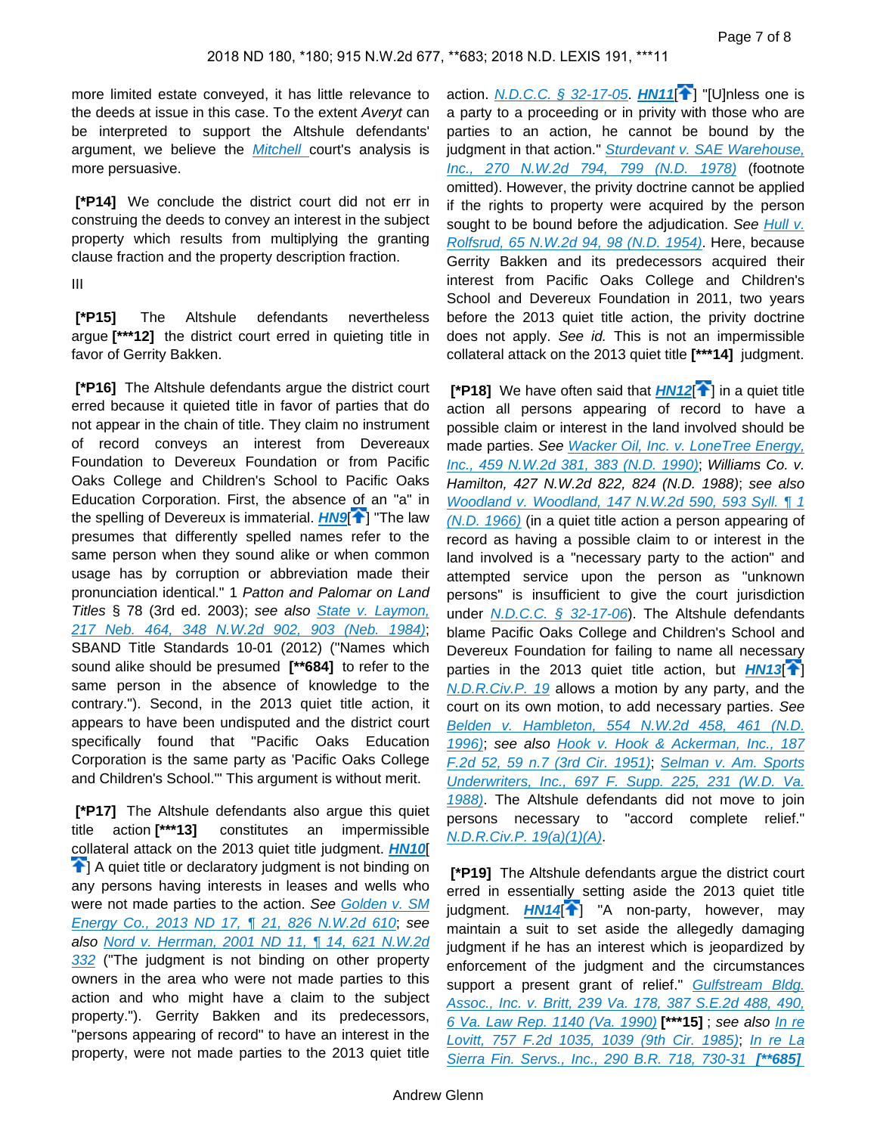more limited estate conveyed, it has little relevance to the deeds at issue in this case. To the extent Averyt can be interpreted to support the Altshule defendants' argument, we believe the **Mitchell** court's analysis is more persuasive.

 **[\*P14]** We conclude the district court did not err in construing the deeds to convey an interest in the subject property which results from multiplying the granting clause fraction and the property description fraction.

III

 **[\*P15]** The Altshule defendants nevertheless argue **[\*\*\*12]** the district court erred in quieting title in favor of Gerrity Bakken.

 **[\*P16]** The Altshule defendants argue the district court erred because it quieted title in favor of parties that do not appear in the chain of title. They claim no instrument of record conveys an interest from Devereaux Foundation to Devereux Foundation or from Pacific Oaks College and Children's School to Pacific Oaks Education Corporation. First, the absence of an "a" in the spelling of Devereux is immaterial. **[HN9](https://advance.lexis.com/api/document?collection=cases&id=urn:contentItem:5STW-HHP1-JXNB-64BN-00000-00&context=&link=clscc9)<sup>[4[\]](#page-2-0)</sup>** "The law presumes that differently spelled names refer to the same person when they sound alike or when common usage has by corruption or abbreviation made their pronunciation identical." 1 Patton and Palomar on Land Titles  $\S$  78 (3rd ed. 2003); see also State v. Laymon, [217 Neb. 464, 348 N.W.2d 902, 903 \(Neb. 1984\)](https://advance.lexis.com/api/document?collection=cases&id=urn:contentItem:3RXP-5VB0-003D-B0M6-00000-00&context=); SBAND Title Standards 10-01 (2012) ("Names which sound alike should be presumed **[\*\*684]** to refer to the same person in the absence of knowledge to the contrary."). Second, in the 2013 quiet title action, it appears to have been undisputed and the district court specifically found that "Pacific Oaks Education Corporation is the same party as 'Pacific Oaks College and Children's School.'" This argument is without merit.

 **[\*P17]** The Altshule defendants also argue this quiet title action **[\*\*\*13]** constitutes an impermissible collateral attack on the 2013 quiet title judgment. **[HN10](https://advance.lexis.com/api/document?collection=cases&id=urn:contentItem:5STW-HHP1-JXNB-64BN-00000-00&context=&link=clscc10)**[ <sup>1</sup>] A quiet title or declaratory judgment is not binding on any persons having interests in leases and wells who were not made parties to the action. See Golden v. SM Energy Co., 2013 ND 17, 1 21, 826 N.W.2d 610; see also [Nord v. Herrman, 2001 ND 11, ¶ 14, 621 N.W.2d](https://advance.lexis.com/api/document?collection=cases&id=urn:contentItem:428G-7610-0039-40MV-00000-00&context=)  [332](https://advance.lexis.com/api/document?collection=cases&id=urn:contentItem:428G-7610-0039-40MV-00000-00&context=) ("The judgment is not binding on other property owners in the area who were not made parties to this action and who might have a claim to the subject property."). Gerrity Bakken and its predecessors, "persons appearing of record" to have an interest in the property, were not made parties to the 2013 quiet title

<span id="page-6-1"></span>action. [N.D.C.C. § 32-17-05](https://advance.lexis.com/api/document?collection=statutes-legislation&id=urn:contentItem:5CP7-WYG1-66WP-P4FR-00000-00&context=). **[HN11](https://advance.lexis.com/api/document?collection=cases&id=urn:contentItem:5STW-HHP1-JXNB-64BN-00000-00&context=&link=clscc11)**[ ] "[U]nless one is a party to a proceeding or in privity with those who are parties to an action, he cannot be bound by the judgment in that action." Sturdevant v. SAE Warehouse, [Inc., 270 N.W.2d 794, 799 \(N.D. 1978\)](https://advance.lexis.com/api/document?collection=cases&id=urn:contentItem:3RXP-62S0-003G-903X-00000-00&context=) (footnote omitted). However, the privity doctrine cannot be applied if the rights to property were acquired by the person sought to be bound before the adjudication. See Hull v. [Rolfsrud, 65 N.W.2d 94, 98 \(N.D. 1954\)](https://advance.lexis.com/api/document?collection=cases&id=urn:contentItem:3S12-4CY0-000K-23FC-00000-00&context=). Here, because Gerrity Bakken and its predecessors acquired their interest from Pacific Oaks College and Children's School and Devereux Foundation in 2011, two years before the 2013 quiet title action, the privity doctrine does not apply. See id. This is not an impermissible collateral attack on the 2013 quiet title **[\*\*\*14]** judgment.

<span id="page-6-2"></span>**[\*P18[\]](#page-2-1)** We have often said that **[HN12](https://advance.lexis.com/api/document?collection=cases&id=urn:contentItem:5STW-HHP1-JXNB-64BN-00000-00&context=&link=clscc12)<sup>[4]</sup>** in a quiet title action all persons appearing of record to have a possible claim or interest in the land involved should be made parties. See Wacker Oil, Inc. v. LoneTree Energy, [Inc., 459 N.W.2d 381, 383 \(N.D. 1990\)](https://advance.lexis.com/api/document?collection=cases&id=urn:contentItem:3RXP-51H0-003G-9211-00000-00&context=); Williams Co. v. Hamilton, 427 N.W.2d 822, 824 (N.D. 1988); see also [Woodland v. Woodland, 147 N.W.2d 590, 593 Syll. ¶ 1](https://advance.lexis.com/api/document?collection=cases&id=urn:contentItem:3RXP-6G30-003G-91KM-00000-00&context=)  [\(N.D. 1966\)](https://advance.lexis.com/api/document?collection=cases&id=urn:contentItem:3RXP-6G30-003G-91KM-00000-00&context=) (in a quiet title action a person appearing of record as having a possible claim to or interest in the land involved is a "necessary party to the action" and attempted service upon the person as "unknown persons" is insufficient to give the court jurisdiction under [N.D.C.C. § 32-17-06](https://advance.lexis.com/api/document?collection=statutes-legislation&id=urn:contentItem:5CP7-WYG1-66WP-P4FT-00000-00&context=)). The Altshule defendants blame Pacific Oaks College and Children's School and Devereux Foundation for failing to name all necessary parties in the 2013 quiet title action, but  $H N 13$ [<sup>1</sup>] [N.D.R.Civ.P. 19](https://advance.lexis.com/api/document?collection=statutes-legislation&id=urn:contentItem:4FY5-9BM0-R03M-M3D6-00000-00&context=) allows a motion by any party, and the court on its own motion, to add necessary parties. See [Belden v. Hambleton, 554 N.W.2d 458, 461 \(N.D.](https://advance.lexis.com/api/document?collection=cases&id=urn:contentItem:3RXP-4J00-003G-9023-00000-00&context=)  [1996\)](https://advance.lexis.com/api/document?collection=cases&id=urn:contentItem:3RXP-4J00-003G-9023-00000-00&context=); see also [Hook v. Hook & Ackerman, Inc., 187](https://advance.lexis.com/api/document?collection=cases&id=urn:contentItem:3S4X-16J0-003B-034T-00000-00&context=)  [F.2d 52, 59 n.7 \(3rd Cir. 1951\)](https://advance.lexis.com/api/document?collection=cases&id=urn:contentItem:3S4X-16J0-003B-034T-00000-00&context=); [Selman v. Am. Sports](https://advance.lexis.com/api/document?collection=cases&id=urn:contentItem:3S4N-7P10-003B-61DN-00000-00&context=)  [Underwriters, Inc., 697 F. Supp. 225, 231 \(W.D. Va.](https://advance.lexis.com/api/document?collection=cases&id=urn:contentItem:3S4N-7P10-003B-61DN-00000-00&context=)  [1988\)](https://advance.lexis.com/api/document?collection=cases&id=urn:contentItem:3S4N-7P10-003B-61DN-00000-00&context=). The Altshule defendants did not move to join persons necessary to "accord complete relief." [N.D.R.Civ.P. 19\(a\)\(1\)\(A\)](https://advance.lexis.com/api/document?collection=statutes-legislation&id=urn:contentItem:4FY5-9BM0-R03M-M3D6-00000-00&context=).

<span id="page-6-4"></span><span id="page-6-3"></span><span id="page-6-0"></span> **[\*P19]** The Altshule defendants argue the district court erred in essentially setting aside the 2013 quiet title judgment. **[HN14](https://advance.lexis.com/api/document?collection=cases&id=urn:contentItem:5STW-HHP1-JXNB-64BN-00000-00&context=&link=clscc14)<sup>[1</sup>[\]](#page-2-2)** "A non-party, however, may maintain a suit to set aside the allegedly damaging judgment if he has an interest which is jeopardized by enforcement of the judgment and the circumstances support a present grant of relief." Gulfstream Bldg. [Assoc., Inc. v. Britt, 239 Va. 178, 387 S.E.2d 488, 490,](https://advance.lexis.com/api/document?collection=cases&id=urn:contentItem:3S3J-VSS0-003D-5162-00000-00&context=)  [6 Va. Law Rep. 1140 \(Va. 1990\)](https://advance.lexis.com/api/document?collection=cases&id=urn:contentItem:3S3J-VSS0-003D-5162-00000-00&context=) **[\*\*\*15]** ; see also [In re](https://advance.lexis.com/api/document?collection=cases&id=urn:contentItem:3S4X-HTG0-0039-P25M-00000-00&context=)  [Lovitt, 757 F.2d 1035, 1039 \(9th Cir. 1985\)](https://advance.lexis.com/api/document?collection=cases&id=urn:contentItem:3S4X-HTG0-0039-P25M-00000-00&context=); [In re La](https://advance.lexis.com/api/document?collection=cases&id=urn:contentItem:484K-YFW0-0039-01YV-00000-00&context=)  [Sierra Fin. Servs., Inc., 290 B.R. 718, 730-31](https://advance.lexis.com/api/document?collection=cases&id=urn:contentItem:484K-YFW0-0039-01YV-00000-00&context=) **[\*\*685]**